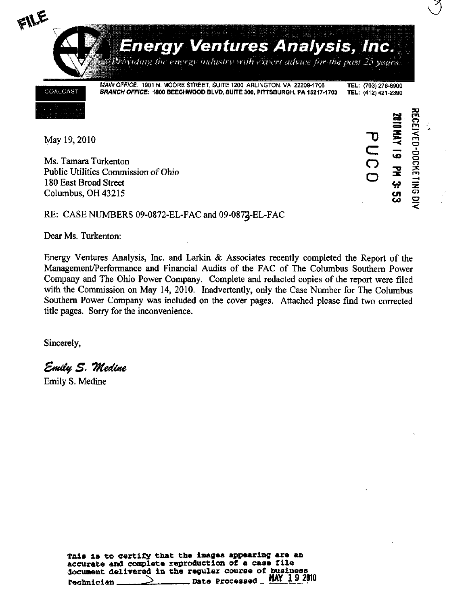

May 19, 2010

Ms. Tamara Turkenton Public Utilities Commission of Ohio 180 East Broad Street Columbus, OH 43215

KECEIVED-DOCKETING DIN **2010 MAY 19 PM 3: 53** PUCD

## RE: CASE NUMBERS 09-0872-EL-FAC and 09-0872-EL-FAC

Dear Ms. Turkenton:

Energy Ventures Analysis, Inc. and Larkin & Associates recently completed the Report of the Management/Performance and Financial Audits of the FAC of The Columbus Southern Power Company and The Ohio Power Company. Complete and redacted copies of the report were filed with the Commission on May 14, 2010. Inadvertently, only the Case Number for The Columbus Southern Power Company was included on the cover pages. Attached please find two corrected title pages. Sorry for the inconvenience.

Sincerely,

Emily S. Medine

Emily S. Medine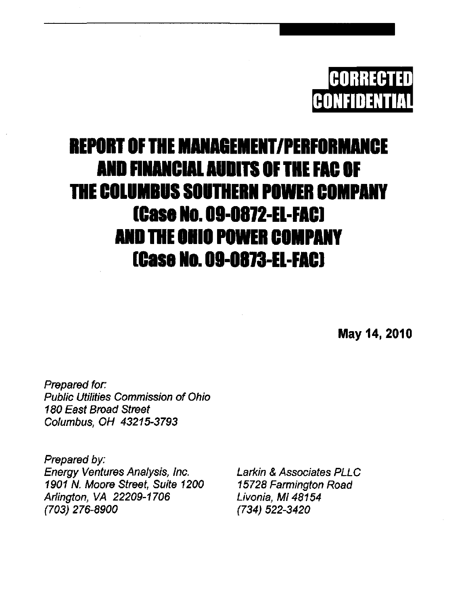

## **REPORT OF THE MANAGEMENT/PERFORMANCE** AND FINANCIAL AUOITS OF THE FAC OF THE COLUMBUS SOUTHERN POWER COMPANY [Case No. 00-0a72-EL-FAC] AND THE OHIO POWER COMPANY [Case No. 09-0873-EL-FAC]

May 14, 2010

Prepared for: Public Utilities Commission of Ohio 180 East Broad Street Columbus, OH 43215-3793

Prepared by: Energy Ventures Analysis, Inc. 1901 N. Moore Street, Suite 1200 Arlington, VA 22209-1706 (703) 276-8900

Larkin & Associates PLLC 15728 Farmington Road Livonia, Ml 48154 (734) 522-3420